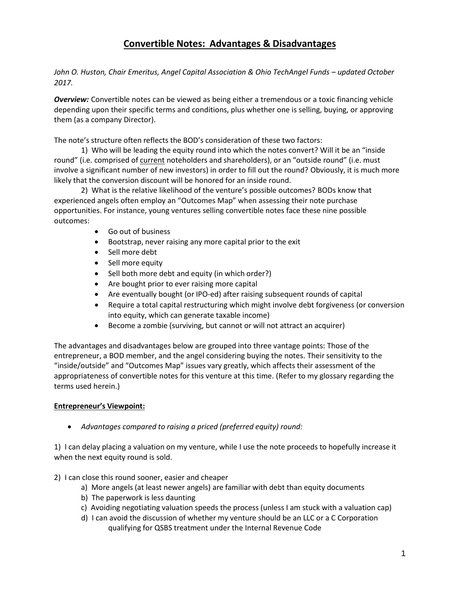# **Convertible Notes: Advantages & Disadvantages**

*John O. Huston, Chair Emeritus, Angel Capital Association & Ohio TechAngel Funds - updated October 2017.*

*Overview:* Convertible notes can be viewed as being either a tremendous or a toxic financing vehicle depending upon their specific terms and conditions, plus whether one is selling, buying, or approving them (as a company Director).

The note's structure often reflects the BOD's consideration of these two factors:

1) Who will be leading the equity round into which the notes convert? Will it be an "inside round" (i.e. comprised of current noteholders and shareholders), or an "outside round" (i.e. must involve a significant number of new investors) in order to fill out the round? Obviously, it is much more likely that the conversion discount will be honored for an inside round.

2) What is the relative likelihood of the venture's possible outcomes? BODs know that experienced angels often employ an "Outcomes Map" when assessing their note purchase opportunities. For instance, young ventures selling convertible notes face these nine possible outcomes:

- Go out of business
- Bootstrap, never raising any more capital prior to the exit
- Sell more debt
- Sell more equity
- Sell both more debt and equity (in which order?)
- Are bought prior to ever raising more capital
- Are eventually bought (or IPO-ed) after raising subsequent rounds of capital
- Require a total capital restructuring which might involve debt forgiveness (or conversion into equity, which can generate taxable income)
- Become a zombie (surviving, but cannot or will not attract an acquirer)

The advantages and disadvantages below are grouped into three vantage points: Those of the entrepreneur, a BOD member, and the angel considering buying the notes. Their sensitivity to the "inside/outside" and "Outcomes Map" issues vary greatly, which affects their assessment of the appropriateness of convertible notes for this venture at this time. (Refer to my glossary regarding the terms used herein.)

#### **Entrepreneur's Viewpoint:**

• *Advantages compared to raising a priced (preferred equity) round:*

1) I can delay placing a valuation on my venture, while I use the note proceeds to hopefully increase it when the next equity round is sold.

- 2) I can close this round sooner, easier and cheaper
	- a) More angels (at least newer angels) are familiar with debt than equity documents
	- b) The paperwork is less daunting
	- c) Avoiding negotiating valuation speeds the process (unless I am stuck with a valuation cap)
	- d) I can avoid the discussion of whether my venture should be an LLC or a C Corporation qualifying for QSBS treatment under the Internal Revenue Code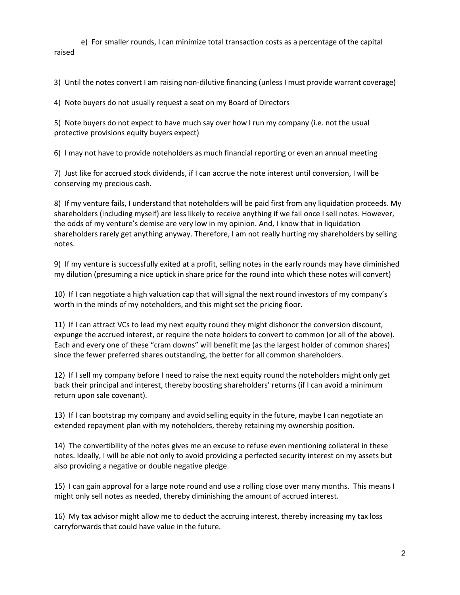e) For smaller rounds, I can minimize total transaction costs as a percentage of the capital raised

3) Until the notes convert I am raising non-dilutive financing (unless I must provide warrant coverage)

4) Note buyers do not usually request a seat on my Board of Directors

5) Note buyers do not expect to have much say over how I run my company (i.e. not the usual protective provisions equity buyers expect)

6) I may not have to provide noteholders as much financial reporting or even an annual meeting

7) Just like for accrued stock dividends, if I can accrue the note interest until conversion, I will be conserving my precious cash.

8) If my venture fails, I understand that noteholders will be paid first from any liquidation proceeds. My shareholders (including myself) are less likely to receive anything if we fail once I sell notes. However, the odds of my venture's demise are very low in my opinion. And, I know that in liquidation shareholders rarely get anything anyway. Therefore, I am not really hurting my shareholders by selling notes.

9) If my venture is successfully exited at a profit, selling notes in the early rounds may have diminished my dilution (presuming a nice uptick in share price for the round into which these notes will convert)

10) If I can negotiate a high valuation cap that will signal the next round investors of my company's worth in the minds of my noteholders, and this might set the pricing floor.

11) If I can attract VCs to lead my next equity round they might dishonor the conversion discount, expunge the accrued interest, or require the note holders to convert to common (or all of the above). Each and every one of these "cram downs" will benefit me (as the largest holder of common shares) since the fewer preferred shares outstanding, the better for all common shareholders.

12) If I sell my company before I need to raise the next equity round the noteholders might only get back their principal and interest, thereby boosting shareholders' returns (if I can avoid a minimum return upon sale covenant).

13) If I can bootstrap my company and avoid selling equity in the future, maybe I can negotiate an extended repayment plan with my noteholders, thereby retaining my ownership position.

14) The convertibility of the notes gives me an excuse to refuse even mentioning collateral in these notes. Ideally, I will be able not only to avoid providing a perfected security interest on my assets but also providing a negative or double negative pledge.

15) I can gain approval for a large note round and use a rolling close over many months. This means I might only sell notes as needed, thereby diminishing the amount of accrued interest.

16) My tax advisor might allow me to deduct the accruing interest, thereby increasing my tax loss carryforwards that could have value in the future.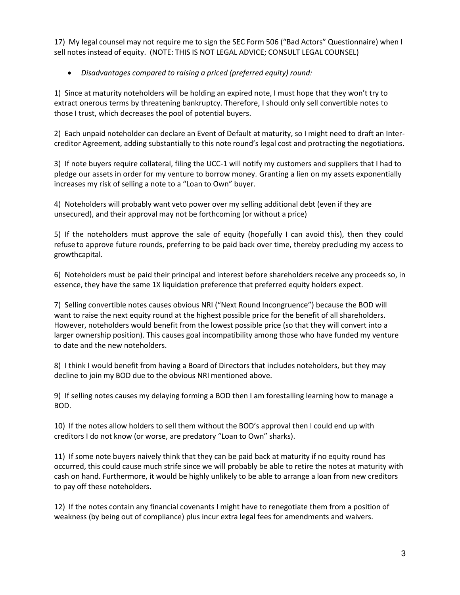17) My legal counsel may not require me to sign the SEC Form 506 ("Bad Actors" Questionnaire) when I sell notes instead of equity. (NOTE: THIS IS NOT LEGAL ADVICE; CONSULT LEGAL COUNSEL)

# • *Disadvantages compared to raising a priced (preferred equity) round:*

1) Since at maturity noteholders will be holding an expired note, I must hope that they won't try to extract onerous terms by threatening bankruptcy. Therefore, I should only sell convertible notes to those I trust, which decreases the pool of potential buyers.

2) Each unpaid noteholder can declare an Event of Default at maturity, so I might need to draft an Intercreditor Agreement, adding substantially to this note round's legal cost and protracting the negotiations.

3) If note buyers require collateral, filing the UCC-1 will notify my customers and suppliers that I had to pledge our assets in order for my venture to borrow money. Granting a lien on my assets exponentially increases my risk of selling a note to a "Loan to Own" buyer.

4) Noteholders will probably want veto power over my selling additional debt (even if they are unsecured), and their approval may not be forthcoming (or without a price)

5) If the noteholders must approve the sale of equity (hopefully I can avoid this), then they could refuse to approve future rounds, preferring to be paid back over time, thereby precluding my access to growthcapital.

6) Noteholders must be paid their principal and interest before shareholders receive any proceeds so, in essence, they have the same 1X liquidation preference that preferred equity holders expect.

7) Selling convertible notes causes obvious NRI ("Next Round Incongruence") because the BOD will want to raise the next equity round at the highest possible price for the benefit of all shareholders. However, noteholders would benefit from the lowest possible price (so that they will convert into a larger ownership position). This causes goal incompatibility among those who have funded my venture to date and the new noteholders.

8) I think I would benefit from having a Board of Directors that includes noteholders, but they may decline to join my BOD due to the obvious NRI mentioned above.

9) If selling notes causes my delaying forming a BOD then I am forestalling learning how to manage a BOD.

10) If the notes allow holders to sell them without the BOD's approval then I could end up with creditors I do not know (or worse, are predatory "Loan to Own" sharks).

11) If some note buyers naively think that they can be paid back at maturity if no equity round has occurred, this could cause much strife since we will probably be able to retire the notes at maturity with cash on hand. Furthermore, it would be highly unlikely to be able to arrange a loan from new creditors to pay off these noteholders.

12) If the notes contain any financial covenants I might have to renegotiate them from a position of weakness (by being out of compliance) plus incur extra legal fees for amendments and waivers.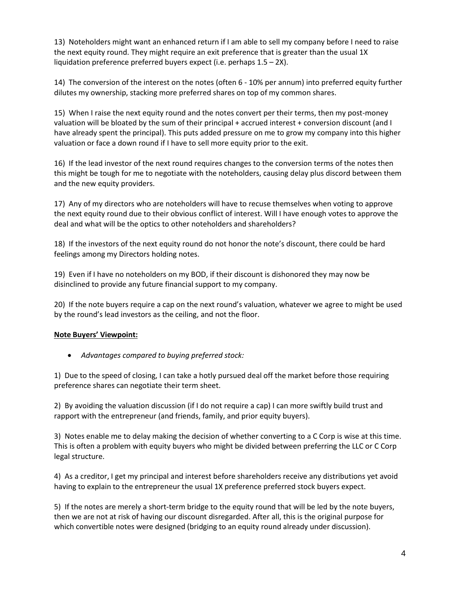13) Noteholders might want an enhanced return if I am able to sell my company before I need to raise the next equity round. They might require an exit preference that is greater than the usual 1X liquidation preference preferred buyers expect (i.e. perhaps 1.5 – 2X).

14) The conversion of the interest on the notes (often 6 - 10% per annum) into preferred equity further dilutes my ownership, stacking more preferred shares on top of my common shares.

15) When I raise the next equity round and the notes convert per their terms, then my post-money valuation will be bloated by the sum of their principal + accrued interest + conversion discount (and I have already spent the principal). This puts added pressure on me to grow my company into this higher valuation or face a down round if I have to sell more equity prior to the exit.

16) If the lead investor of the next round requires changes to the conversion terms of the notes then this might be tough for me to negotiate with the noteholders, causing delay plus discord between them and the new equity providers.

17) Any of my directors who are noteholders will have to recuse themselves when voting to approve the next equity round due to their obvious conflict of interest. Will I have enough votes to approve the deal and what will be the optics to other noteholders and shareholders?

18) If the investors of the next equity round do not honor the note's discount, there could be hard feelings among my Directors holding notes.

19) Even if I have no noteholders on my BOD, if their discount is dishonored they may now be disinclined to provide any future financial support to my company.

20) If the note buyers require a cap on the next round's valuation, whatever we agree to might be used by the round's lead investors as the ceiling, and not the floor.

#### **Note Buyers' Viewpoint:**

• *Advantages compared to buying preferred stock:*

1) Due to the speed of closing, I can take a hotly pursued deal off the market before those requiring preference shares can negotiate their term sheet.

2) By avoiding the valuation discussion (if I do not require a cap) I can more swiftly build trust and rapport with the entrepreneur (and friends, family, and prior equity buyers).

3) Notes enable me to delay making the decision of whether converting to a C Corp is wise at this time. This is often a problem with equity buyers who might be divided between preferring the LLC or C Corp legal structure.

4) As a creditor, I get my principal and interest before shareholders receive any distributions yet avoid having to explain to the entrepreneur the usual 1X preference preferred stock buyers expect.

5) If the notes are merely a short-term bridge to the equity round that will be led by the note buyers, then we are not at risk of having our discount disregarded. After all, this is the original purpose for which convertible notes were designed (bridging to an equity round already under discussion).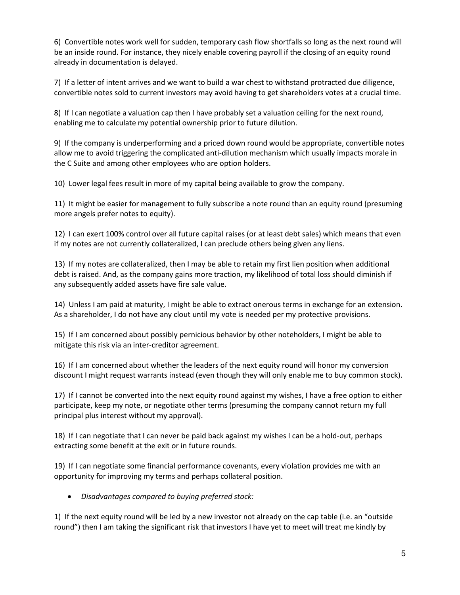6) Convertible notes work well for sudden, temporary cash flow shortfalls so long as the next round will be an inside round. For instance, they nicely enable covering payroll if the closing of an equity round already in documentation is delayed.

7) If a letter of intent arrives and we want to build a war chest to withstand protracted due diligence, convertible notes sold to current investors may avoid having to get shareholders votes at a crucial time.

8) If I can negotiate a valuation cap then I have probably set a valuation ceiling for the next round, enabling me to calculate my potential ownership prior to future dilution.

9) If the company is underperforming and a priced down round would be appropriate, convertible notes allow me to avoid triggering the complicated anti-dilution mechanism which usually impacts morale in the C Suite and among other employees who are option holders.

10) Lower legal fees result in more of my capital being available to grow the company.

11) It might be easier for management to fully subscribe a note round than an equity round (presuming more angels prefer notes to equity).

12) I can exert 100% control over all future capital raises (or at least debt sales) which means that even if my notes are not currently collateralized, I can preclude others being given any liens.

13) If my notes are collateralized, then I may be able to retain my first lien position when additional debt is raised. And, as the company gains more traction, my likelihood of total loss should diminish if any subsequently added assets have fire sale value.

14) Unless I am paid at maturity, I might be able to extract onerous terms in exchange for an extension. As a shareholder, I do not have any clout until my vote is needed per my protective provisions.

15) If I am concerned about possibly pernicious behavior by other noteholders, I might be able to mitigate this risk via an inter-creditor agreement.

16) If I am concerned about whether the leaders of the next equity round will honor my conversion discount I might request warrants instead (even though they will only enable me to buy common stock).

17) If I cannot be converted into the next equity round against my wishes, I have a free option to either participate, keep my note, or negotiate other terms (presuming the company cannot return my full principal plus interest without my approval).

18) If I can negotiate that I can never be paid back against my wishes I can be a hold-out, perhaps extracting some benefit at the exit or in future rounds.

19) If I can negotiate some financial performance covenants, every violation provides me with an opportunity for improving my terms and perhaps collateral position.

• *Disadvantages compared to buying preferred stock:*

1) If the next equity round will be led by a new investor not already on the cap table (i.e. an "outside round") then I am taking the significant risk that investors I have yet to meet will treat me kindly by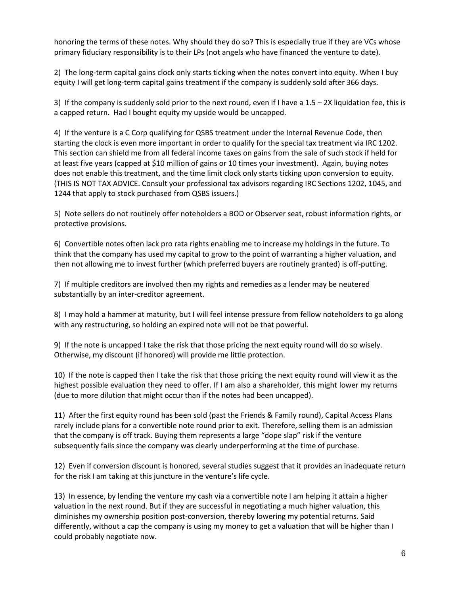honoring the terms of these notes. Why should they do so? This is especially true if they are VCs whose primary fiduciary responsibility is to their LPs (not angels who have financed the venture to date).

2) The long-term capital gains clock only starts ticking when the notes convert into equity. When I buy equity I will get long-term capital gains treatment if the company is suddenly sold after 366 days.

3) If the company is suddenly sold prior to the next round, even if I have a 1.5 – 2X liquidation fee, this is a capped return. Had I bought equity my upside would be uncapped.

4) If the venture is a C Corp qualifying for QSBS treatment under the Internal Revenue Code, then starting the clock is even more important in order to qualify for the special tax treatment via IRC 1202. This section can shield me from all federal income taxes on gains from the sale of such stock if held for at least five years (capped at \$10 million of gains or 10 times your investment). Again, buying notes does not enable this treatment, and the time limit clock only starts ticking upon conversion to equity. (THIS IS NOT TAX ADVICE. Consult your professional tax advisors regarding IRC Sections 1202, 1045, and 1244 that apply to stock purchased from QSBS issuers.)

5) Note sellers do not routinely offer noteholders a BOD or Observer seat, robust information rights, or protective provisions.

6) Convertible notes often lack pro rata rights enabling me to increase my holdings in the future. To think that the company has used my capital to grow to the point of warranting a higher valuation, and then not allowing me to invest further (which preferred buyers are routinely granted) is off-putting.

7) If multiple creditors are involved then my rights and remedies as a lender may be neutered substantially by an inter-creditor agreement.

8) I may hold a hammer at maturity, but I will feel intense pressure from fellow noteholders to go along with any restructuring, so holding an expired note will not be that powerful.

9) If the note is uncapped I take the risk that those pricing the next equity round will do so wisely. Otherwise, my discount (if honored) will provide me little protection.

10) If the note is capped then I take the risk that those pricing the next equity round will view it as the highest possible evaluation they need to offer. If I am also a shareholder, this might lower my returns (due to more dilution that might occur than if the notes had been uncapped).

11) After the first equity round has been sold (past the Friends & Family round), Capital Access Plans rarely include plans for a convertible note round prior to exit. Therefore, selling them is an admission that the company is off track. Buying them represents a large "dope slap" risk if the venture subsequently fails since the company was clearly underperforming at the time of purchase.

12) Even if conversion discount is honored, several studies suggest that it provides an inadequate return for the risk I am taking at this juncture in the venture's life cycle.

13) In essence, by lending the venture my cash via a convertible note I am helping it attain a higher valuation in the next round. But if they are successful in negotiating a much higher valuation, this diminishes my ownership position post-conversion, thereby lowering my potential returns. Said differently, without a cap the company is using my money to get a valuation that will be higher than I could probably negotiate now.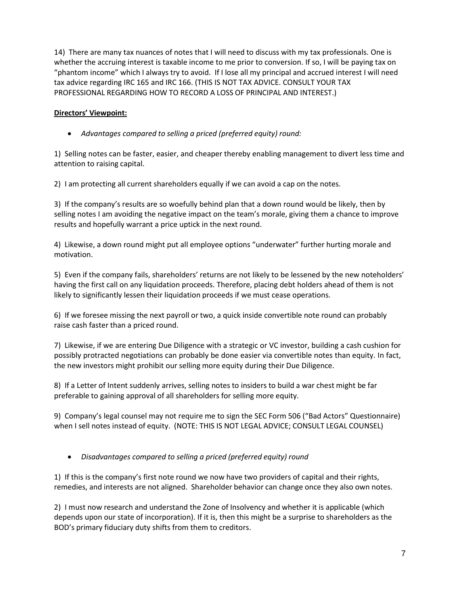14) There are many tax nuances of notes that I will need to discuss with my tax professionals. One is whether the accruing interest is taxable income to me prior to conversion. If so, I will be paying tax on "phantom income" which I always try to avoid. If I lose all my principal and accrued interest I will need tax advice regarding IRC 165 and IRC 166. (THIS IS NOT TAX ADVICE. CONSULT YOUR TAX PROFESSIONAL REGARDING HOW TO RECORD A LOSS OF PRINCIPAL AND INTEREST.)

## **Directors' Viewpoint:**

• *Advantages compared to selling a priced (preferred equity) round:*

1) Selling notes can be faster, easier, and cheaper thereby enabling management to divert less time and attention to raising capital.

2) I am protecting all current shareholders equally if we can avoid a cap on the notes.

3) If the company's results are so woefully behind plan that a down round would be likely, then by selling notes I am avoiding the negative impact on the team's morale, giving them a chance to improve results and hopefully warrant a price uptick in the next round.

4) Likewise, a down round might put all employee options "underwater" further hurting morale and motivation.

5) Even if the company fails, shareholders' returns are not likely to be lessened by the new noteholders' having the first call on any liquidation proceeds. Therefore, placing debt holders ahead of them is not likely to significantly lessen their liquidation proceeds if we must cease operations.

6) If we foresee missing the next payroll or two, a quick inside convertible note round can probably raise cash faster than a priced round.

7) Likewise, if we are entering Due Diligence with a strategic or VC investor, building a cash cushion for possibly protracted negotiations can probably be done easier via convertible notes than equity. In fact, the new investors might prohibit our selling more equity during their Due Diligence.

8) If a Letter of Intent suddenly arrives, selling notes to insiders to build a war chest might be far preferable to gaining approval of all shareholders for selling more equity.

9) Company's legal counsel may not require me to sign the SEC Form 506 ("Bad Actors" Questionnaire) when I sell notes instead of equity. (NOTE: THIS IS NOT LEGAL ADVICE; CONSULT LEGAL COUNSEL)

### • *Disadvantages compared to selling a priced (preferred equity) round*

1) If this is the company's first note round we now have two providers of capital and their rights, remedies, and interests are not aligned. Shareholder behavior can change once they also own notes.

2) I must now research and understand the Zone of Insolvency and whether it is applicable (which depends upon our state of incorporation). If it is, then this might be a surprise to shareholders as the BOD's primary fiduciary duty shifts from them to creditors.